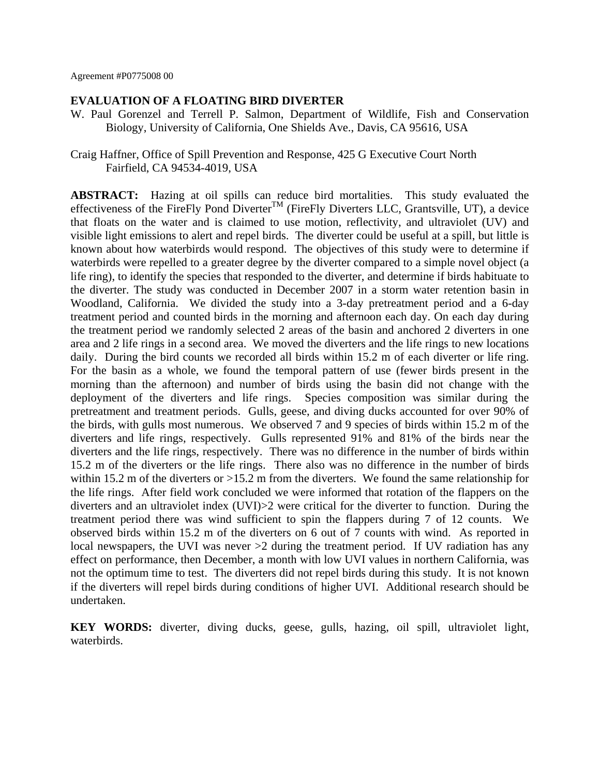#### **EVALUATION OF A FLOATING BIRD DIVERTER**

- W. Paul Gorenzel and Terrell P. Salmon, Department of Wildlife, Fish and Conservation Biology, University of California, One Shields Ave., Davis, CA 95616, USA
- Craig Haffner, Office of Spill Prevention and Response, 425 G Executive Court North Fairfield, CA 94534-4019, USA

**ABSTRACT:** Hazing at oil spills can reduce bird mortalities. This study evaluated the effectiveness of the FireFly Pond Diverter<sup>TM</sup> (FireFly Diverters LLC, Grantsville, UT), a device that floats on the water and is claimed to use motion, reflectivity, and ultraviolet (UV) and visible light emissions to alert and repel birds. The diverter could be useful at a spill, but little is known about how waterbirds would respond. The objectives of this study were to determine if waterbirds were repelled to a greater degree by the diverter compared to a simple novel object (a life ring), to identify the species that responded to the diverter, and determine if birds habituate to the diverter. The study was conducted in December 2007 in a storm water retention basin in Woodland, California. We divided the study into a 3-day pretreatment period and a 6-day treatment period and counted birds in the morning and afternoon each day. On each day during the treatment period we randomly selected 2 areas of the basin and anchored 2 diverters in one area and 2 life rings in a second area. We moved the diverters and the life rings to new locations daily. During the bird counts we recorded all birds within 15.2 m of each diverter or life ring. For the basin as a whole, we found the temporal pattern of use (fewer birds present in the morning than the afternoon) and number of birds using the basin did not change with the deployment of the diverters and life rings. Species composition was similar during the pretreatment and treatment periods. Gulls, geese, and diving ducks accounted for over 90% of the birds, with gulls most numerous. We observed 7 and 9 species of birds within 15.2 m of the diverters and life rings, respectively. Gulls represented 91% and 81% of the birds near the diverters and the life rings, respectively. There was no difference in the number of birds within 15.2 m of the diverters or the life rings. There also was no difference in the number of birds within 15.2 m of the diverters or  $>15.2$  m from the diverters. We found the same relationship for the life rings. After field work concluded we were informed that rotation of the flappers on the diverters and an ultraviolet index (UVI)>2 were critical for the diverter to function. During the treatment period there was wind sufficient to spin the flappers during 7 of 12 counts. We observed birds within 15.2 m of the diverters on 6 out of 7 counts with wind. As reported in local newspapers, the UVI was never  $>2$  during the treatment period. If UV radiation has any effect on performance, then December, a month with low UVI values in northern California, was not the optimum time to test. The diverters did not repel birds during this study. It is not known if the diverters will repel birds during conditions of higher UVI. Additional research should be undertaken.

**KEY WORDS:** diverter, diving ducks, geese, gulls, hazing, oil spill, ultraviolet light, waterbirds.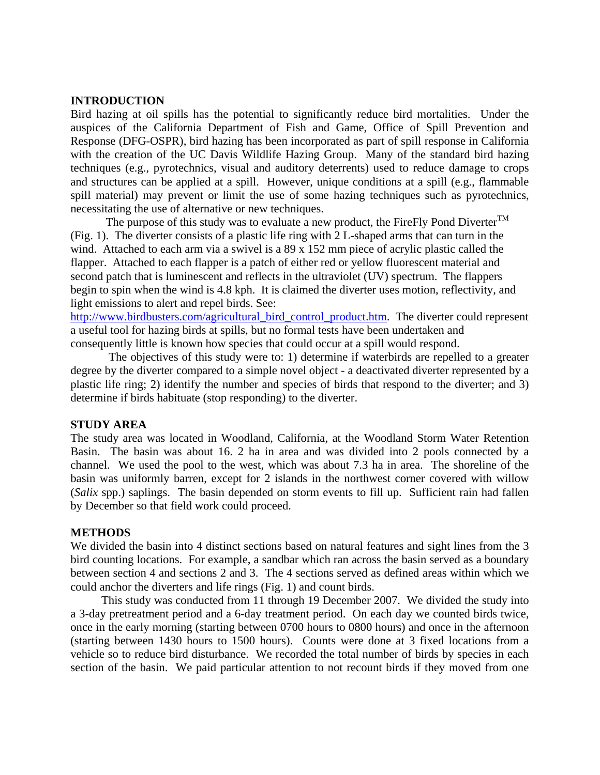### **INTRODUCTION**

Bird hazing at oil spills has the potential to significantly reduce bird mortalities. Under the auspices of the California Department of Fish and Game, Office of Spill Prevention and Response (DFG-OSPR), bird hazing has been incorporated as part of spill response in California with the creation of the UC Davis Wildlife Hazing Group. Many of the standard bird hazing techniques (e.g., pyrotechnics, visual and auditory deterrents) used to reduce damage to crops and structures can be applied at a spill. However, unique conditions at a spill (e.g., flammable spill material) may prevent or limit the use of some hazing techniques such as pyrotechnics, necessitating the use of alternative or new techniques.

The purpose of this study was to evaluate a new product, the FireFly Pond Diverter<sup>TM</sup> (Fig. 1). The diverter consists of a plastic life ring with 2 L-shaped arms that can turn in the wind. Attached to each arm via a swivel is a 89 x 152 mm piece of acrylic plastic called the flapper. Attached to each flapper is a patch of either red or yellow fluorescent material and second patch that is luminescent and reflects in the ultraviolet (UV) spectrum. The flappers begin to spin when the wind is 4.8 kph. It is claimed the diverter uses motion, reflectivity, and light emissions to alert and repel birds. See:

[http://www.birdbusters.com/agricultural\\_bird\\_control\\_product.htm.](http://www.birdbusters.com/agricultural_bird_control_product.htm) The diverter could represent a useful tool for hazing birds at spills, but no formal tests have been undertaken and consequently little is known how species that could occur at a spill would respond.

 The objectives of this study were to: 1) determine if waterbirds are repelled to a greater degree by the diverter compared to a simple novel object - a deactivated diverter represented by a plastic life ring; 2) identify the number and species of birds that respond to the diverter; and 3) determine if birds habituate (stop responding) to the diverter.

### **STUDY AREA**

The study area was located in Woodland, California, at the Woodland Storm Water Retention Basin. The basin was about 16. 2 ha in area and was divided into 2 pools connected by a channel. We used the pool to the west, which was about 7.3 ha in area. The shoreline of the basin was uniformly barren, except for 2 islands in the northwest corner covered with willow (*Salix* spp.) saplings. The basin depended on storm events to fill up. Sufficient rain had fallen by December so that field work could proceed.

# **METHODS**

We divided the basin into 4 distinct sections based on natural features and sight lines from the 3 bird counting locations. For example, a sandbar which ran across the basin served as a boundary between section 4 and sections 2 and 3. The 4 sections served as defined areas within which we could anchor the diverters and life rings (Fig. 1) and count birds.

This study was conducted from 11 through 19 December 2007. We divided the study into a 3-day pretreatment period and a 6-day treatment period. On each day we counted birds twice, once in the early morning (starting between 0700 hours to 0800 hours) and once in the afternoon (starting between 1430 hours to 1500 hours). Counts were done at 3 fixed locations from a vehicle so to reduce bird disturbance. We recorded the total number of birds by species in each section of the basin. We paid particular attention to not recount birds if they moved from one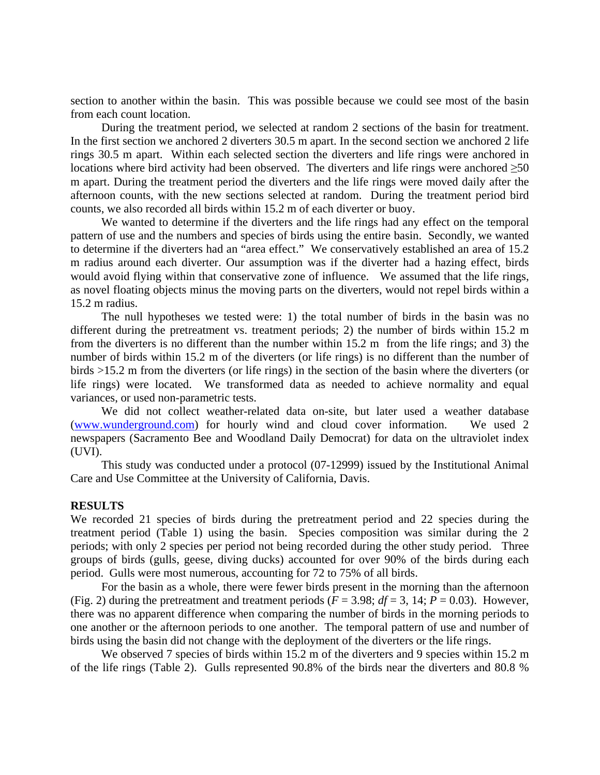section to another within the basin. This was possible because we could see most of the basin from each count location.

During the treatment period, we selected at random 2 sections of the basin for treatment. In the first section we anchored 2 diverters 30.5 m apart. In the second section we anchored 2 life rings 30.5 m apart. Within each selected section the diverters and life rings were anchored in locations where bird activity had been observed. The diverters and life rings were anchored ≥50 m apart. During the treatment period the diverters and the life rings were moved daily after the afternoon counts, with the new sections selected at random. During the treatment period bird counts, we also recorded all birds within 15.2 m of each diverter or buoy.

We wanted to determine if the diverters and the life rings had any effect on the temporal pattern of use and the numbers and species of birds using the entire basin. Secondly, we wanted to determine if the diverters had an "area effect." We conservatively established an area of 15.2 m radius around each diverter. Our assumption was if the diverter had a hazing effect, birds would avoid flying within that conservative zone of influence. We assumed that the life rings, as novel floating objects minus the moving parts on the diverters, would not repel birds within a 15.2 m radius.

The null hypotheses we tested were: 1) the total number of birds in the basin was no different during the pretreatment vs. treatment periods; 2) the number of birds within 15.2 m from the diverters is no different than the number within 15.2 m from the life rings; and 3) the number of birds within 15.2 m of the diverters (or life rings) is no different than the number of birds >15.2 m from the diverters (or life rings) in the section of the basin where the diverters (or life rings) were located. We transformed data as needed to achieve normality and equal variances, or used non-parametric tests.

We did not collect weather-related data on-site, but later used a weather database [\(www.wunderground.com\)](http://www.wunderground.com)/) for hourly wind and cloud cover information. We used 2 newspapers (Sacramento Bee and Woodland Daily Democrat) for data on the ultraviolet index (UVI).

This study was conducted under a protocol (07-12999) issued by the Institutional Animal Care and Use Committee at the University of California, Davis.

### **RESULTS**

We recorded 21 species of birds during the pretreatment period and 22 species during the treatment period (Table 1) using the basin. Species composition was similar during the 2 periods; with only 2 species per period not being recorded during the other study period. Three groups of birds (gulls, geese, diving ducks) accounted for over 90% of the birds during each period. Gulls were most numerous, accounting for 72 to 75% of all birds.

For the basin as a whole, there were fewer birds present in the morning than the afternoon (Fig. 2) during the pretreatment and treatment periods ( $F = 3.98$ ;  $df = 3$ , 14;  $P = 0.03$ ). However, there was no apparent difference when comparing the number of birds in the morning periods to one another or the afternoon periods to one another. The temporal pattern of use and number of birds using the basin did not change with the deployment of the diverters or the life rings.

We observed 7 species of birds within 15.2 m of the diverters and 9 species within 15.2 m of the life rings (Table 2). Gulls represented 90.8% of the birds near the diverters and 80.8 %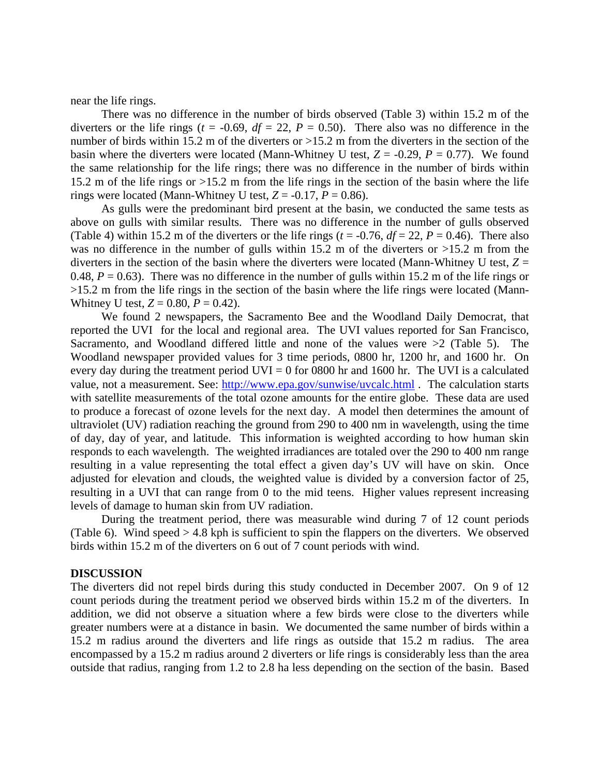near the life rings.

There was no difference in the number of birds observed (Table 3) within 15.2 m of the diverters or the life rings ( $t = -0.69$ ,  $df = 22$ ,  $P = 0.50$ ). There also was no difference in the number of birds within 15.2 m of the diverters or  $>15.2$  m from the diverters in the section of the basin where the diverters were located (Mann-Whitney U test,  $Z = -0.29$ ,  $P = 0.77$ ). We found the same relationship for the life rings; there was no difference in the number of birds within 15.2 m of the life rings or >15.2 m from the life rings in the section of the basin where the life rings were located (Mann-Whitney U test,  $Z = -0.17$ ,  $P = 0.86$ ).

As gulls were the predominant bird present at the basin, we conducted the same tests as above on gulls with similar results. There was no difference in the number of gulls observed (Table 4) within 15.2 m of the diverters or the life rings ( $t = -0.76$ ,  $df = 22$ ,  $P = 0.46$ ). There also was no difference in the number of gulls within 15.2 m of the diverters or  $>15.2$  m from the diverters in the section of the basin where the diverters were located (Mann-Whitney U test,  $Z =$ 0.48,  $P = 0.63$ ). There was no difference in the number of gulls within 15.2 m of the life rings or >15.2 m from the life rings in the section of the basin where the life rings were located (Mann-Whitney U test,  $Z = 0.80$ ,  $P = 0.42$ ).

We found 2 newspapers, the Sacramento Bee and the Woodland Daily Democrat, that reported the UVI for the local and regional area. The UVI values reported for San Francisco, Sacramento, and Woodland differed little and none of the values were >2 (Table 5). The Woodland newspaper provided values for 3 time periods, 0800 hr, 1200 hr, and 1600 hr. On every day during the treatment period  $UVI = 0$  for 0800 hr and 1600 hr. The UVI is a calculated value, not a measurement. See:<http://www.epa.gov/sunwise/uvcalc.html> . The calculation starts with satellite measurements of the total ozone amounts for the entire globe. These data are used to produce a forecast of ozone levels for the next day. A model then determines the amount of ultraviolet (UV) radiation reaching the ground from 290 to 400 nm in wavelength, using the time of day, day of year, and latitude. This information is weighted according to how human skin responds to each wavelength. The weighted irradiances are totaled over the 290 to 400 nm range resulting in a value representing the total effect a given day's UV will have on skin. Once adjusted for elevation and clouds, the weighted value is divided by a conversion factor of 25, resulting in a UVI that can range from 0 to the mid teens. Higher values represent increasing levels of damage to human skin from UV radiation.

During the treatment period, there was measurable wind during 7 of 12 count periods (Table 6). Wind speed > 4.8 kph is sufficient to spin the flappers on the diverters. We observed birds within 15.2 m of the diverters on 6 out of 7 count periods with wind.

#### **DISCUSSION**

The diverters did not repel birds during this study conducted in December 2007. On 9 of 12 count periods during the treatment period we observed birds within 15.2 m of the diverters. In addition, we did not observe a situation where a few birds were close to the diverters while greater numbers were at a distance in basin. We documented the same number of birds within a 15.2 m radius around the diverters and life rings as outside that 15.2 m radius. The area encompassed by a 15.2 m radius around 2 diverters or life rings is considerably less than the area outside that radius, ranging from 1.2 to 2.8 ha less depending on the section of the basin. Based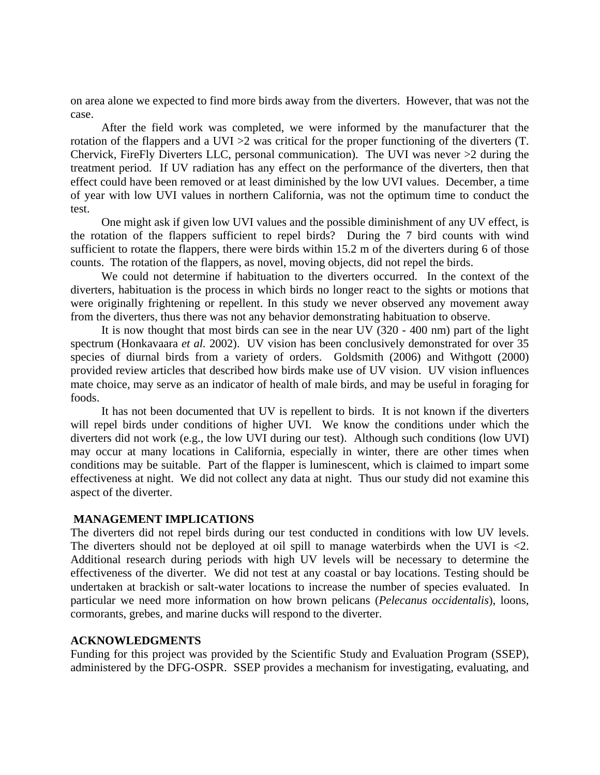on area alone we expected to find more birds away from the diverters. However, that was not the case.

After the field work was completed, we were informed by the manufacturer that the rotation of the flappers and a UVI >2 was critical for the proper functioning of the diverters (T. Chervick, FireFly Diverters LLC, personal communication). The UVI was never >2 during the treatment period. If UV radiation has any effect on the performance of the diverters, then that effect could have been removed or at least diminished by the low UVI values. December, a time of year with low UVI values in northern California, was not the optimum time to conduct the test.

 One might ask if given low UVI values and the possible diminishment of any UV effect, is the rotation of the flappers sufficient to repel birds? During the 7 bird counts with wind sufficient to rotate the flappers, there were birds within 15.2 m of the diverters during 6 of those counts. The rotation of the flappers, as novel, moving objects, did not repel the birds.

We could not determine if habituation to the diverters occurred. In the context of the diverters, habituation is the process in which birds no longer react to the sights or motions that were originally frightening or repellent. In this study we never observed any movement away from the diverters, thus there was not any behavior demonstrating habituation to observe.

It is now thought that most birds can see in the near UV (320 - 400 nm) part of the light spectrum (Honkavaara *et al.* 2002). UV vision has been conclusively demonstrated for over 35 species of diurnal birds from a variety of orders. Goldsmith (2006) and Withgott (2000) provided review articles that described how birds make use of UV vision. UV vision influences mate choice, may serve as an indicator of health of male birds, and may be useful in foraging for foods.

It has not been documented that UV is repellent to birds. It is not known if the diverters will repel birds under conditions of higher UVI. We know the conditions under which the diverters did not work (e.g., the low UVI during our test). Although such conditions (low UVI) may occur at many locations in California, especially in winter, there are other times when conditions may be suitable. Part of the flapper is luminescent, which is claimed to impart some effectiveness at night. We did not collect any data at night. Thus our study did not examine this aspect of the diverter.

### **MANAGEMENT IMPLICATIONS**

The diverters did not repel birds during our test conducted in conditions with low UV levels. The diverters should not be deployed at oil spill to manage waterbirds when the UVI is <2. Additional research during periods with high UV levels will be necessary to determine the effectiveness of the diverter. We did not test at any coastal or bay locations. Testing should be undertaken at brackish or salt-water locations to increase the number of species evaluated. In particular we need more information on how brown pelicans (*Pelecanus occidentalis*), loons, cormorants, grebes, and marine ducks will respond to the diverter.

#### **ACKNOWLEDGMENTS**

Funding for this project was provided by the Scientific Study and Evaluation Program (SSEP), administered by the DFG-OSPR. SSEP provides a mechanism for investigating, evaluating, and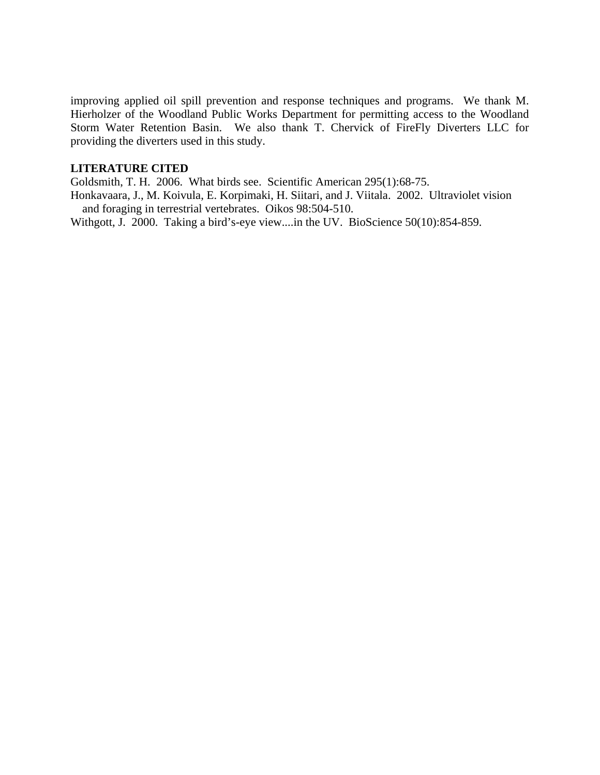improving applied oil spill prevention and response techniques and programs. We thank M. Hierholzer of the Woodland Public Works Department for permitting access to the Woodland Storm Water Retention Basin. We also thank T. Chervick of FireFly Diverters LLC for providing the diverters used in this study.

## **LITERATURE CITED**

Goldsmith, T. H. 2006. What birds see. Scientific American 295(1):68-75.

Honkavaara, J., M. Koivula, E. Korpimaki, H. Siitari, and J. Viitala. 2002. Ultraviolet vision and foraging in terrestrial vertebrates. Oikos 98:504-510.

Withgott, J. 2000. Taking a bird's-eye view....in the UV. BioScience 50(10):854-859.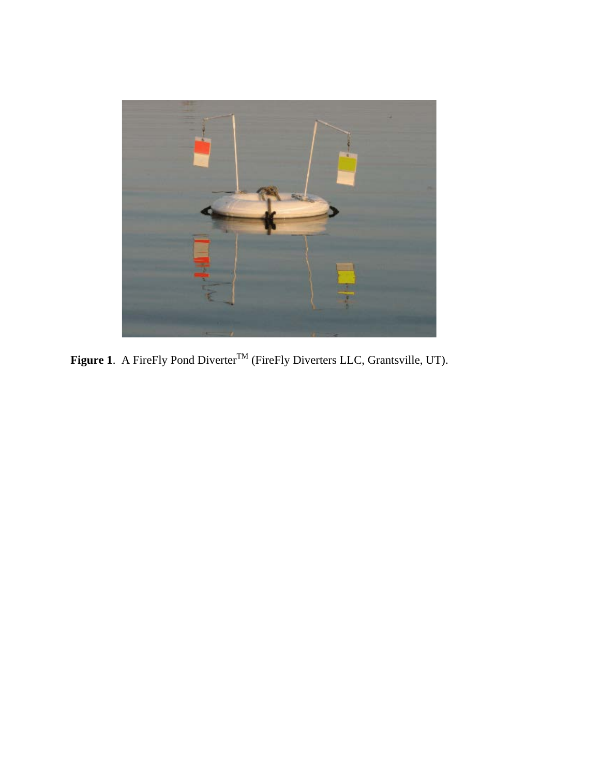

Figure 1. A FireFly Pond Diverter<sup>TM</sup> (FireFly Diverters LLC, Grantsville, UT).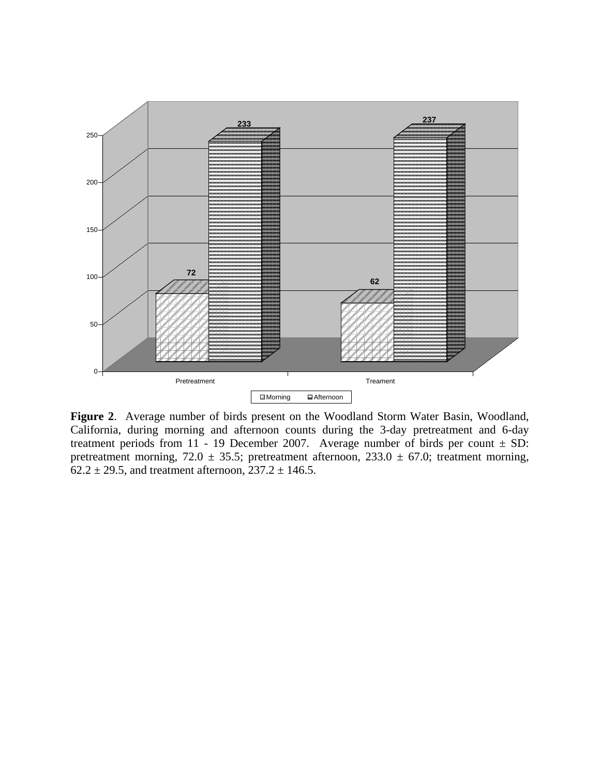

**Figure 2**. Average number of birds present on the Woodland Storm Water Basin, Woodland, California, during morning and afternoon counts during the 3-day pretreatment and 6-day treatment periods from 11 - 19 December 2007. Average number of birds per count  $\pm$  SD: pretreatment morning, 72.0  $\pm$  35.5; pretreatment afternoon, 233.0  $\pm$  67.0; treatment morning,  $62.2 \pm 29.5$ , and treatment afternoon,  $237.2 \pm 146.5$ .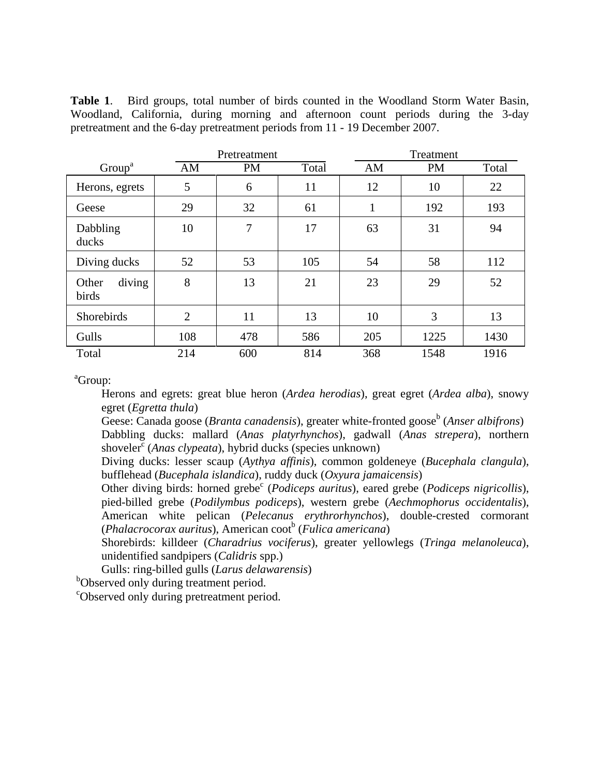**Table 1**. Bird groups, total number of birds counted in the Woodland Storm Water Basin, Woodland, California, during morning and afternoon count periods during the 3-day pretreatment and the 6-day pretreatment periods from 11 - 19 December 2007.

|                          |                | Pretreatment |       |     | Treatment |       |  |  |
|--------------------------|----------------|--------------|-------|-----|-----------|-------|--|--|
| Group <sup>a</sup>       | AM             | <b>PM</b>    | Total | AM  | <b>PM</b> | Total |  |  |
| Herons, egrets           | 5              | 6            | 11    | 12  | 10        | 22    |  |  |
| Geese                    | 29             | 32           | 61    | 1   | 192       | 193   |  |  |
| Dabbling<br>ducks        | 10             | 7            | 17    | 63  | 31        | 94    |  |  |
| Diving ducks             | 52             | 53           | 105   | 54  | 58        | 112   |  |  |
| diving<br>Other<br>birds | 8              | 13           | 21    | 23  | 29        | 52    |  |  |
| Shorebirds               | $\overline{2}$ | 11           | 13    | 10  | 3         | 13    |  |  |
| Gulls                    | 108            | 478          | 586   | 205 | 1225      | 1430  |  |  |
| Total                    | 214            | 600          | 814   | 368 | 1548      | 1916  |  |  |

a Group:

Herons and egrets: great blue heron (*Ardea herodias*), great egret (*Ardea alba*), snowy egret (*Egretta thula*)

Geese: Canada goose (*Branta canadensis*), greater white-fronted goose<sup>b</sup> (*Anser albifrons*) Dabbling ducks: mallard (*Anas platyrhynchos*), gadwall (*Anas strepera*), northern shoveler<sup>c</sup> (*Anas clypeata*), hybrid ducks (species unknown)

Diving ducks: lesser scaup (*Aythya affinis*), common goldeneye (*Bucephala clangula*), bufflehead (*Bucephala islandica*), ruddy duck (*Oxyura jamaicensis*)

Other diving birds: horned grebe<sup>c</sup> (*Podiceps auritus*), eared grebe (*Podiceps nigricollis*), pied-billed grebe (*Podilymbus podiceps*), western grebe (*Aechmophorus occidentalis*), American white pelican (*Pelecanus erythrorhynchos*), double-crested cormorant (*Phalacrocorax auritus*), American coot<sup>b</sup> (*Fulica americana*)

Shorebirds: killdeer (*Charadrius vociferus*), greater yellowlegs (*Tringa melanoleuca*), unidentified sandpipers (*Calidris* spp.)

Gulls: ring-billed gulls (*Larus delawarensis*)

b Observed only during treatment period.

c Observed only during pretreatment period.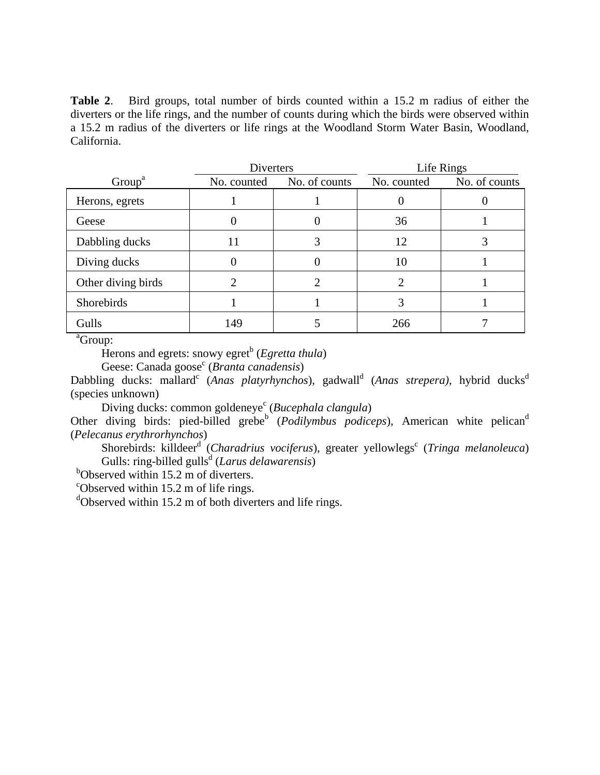**Table 2**. Bird groups, total number of birds counted within a 15.2 m radius of either the diverters or the life rings, and the number of counts during which the birds were observed within a 15.2 m radius of the diverters or life rings at the Woodland Storm Water Basin, Woodland, California.

|                    | Diverters   |               |             | Life Rings    |
|--------------------|-------------|---------------|-------------|---------------|
| Group <sup>a</sup> | No. counted | No. of counts | No. counted | No. of counts |
| Herons, egrets     |             |               |             |               |
| Geese              |             |               | 36          |               |
| Dabbling ducks     | 11          |               | 12          |               |
| Diving ducks       |             |               | 10          |               |
| Other diving birds |             |               | າ           |               |
| Shorebirds         |             |               | 3           |               |
| Gulls              | 149         |               | 266         |               |

a Group:

Herons and egrets: snowy egret<sup>b</sup> (*Egretta thula*) Geese: Canada goose<sup>c</sup> (*Branta canadensis*)

Dabbling ducks: mallard<sup>c</sup> (Anas platyrhynchos), gadwall<sup>d</sup> (Anas strepera), hybrid ducks<sup>d</sup> (species unknown)

Diving ducks: common goldeneye<sup>c</sup> (*Bucephala clangula*)

Other diving birds: pied-billed grebe<sup>b</sup> (*Podilymbus podiceps*), American white pelican<sup>d</sup> (*Pelecanus erythrorhynchos*)

Shorebirds: killdeer<sup>d</sup> (Charadrius vociferus), greater yellowlegs<sup>c</sup> (Tringa melanoleuca) Gulls: ring-billed gulls<sup>d</sup> (*Larus delawarensis*)

<sup>b</sup>Observed within 15.2 m of diverters.

<sup>c</sup>Observed within 15.2 m of life rings.

<sup>d</sup>Observed within 15.2 m of both diverters and life rings.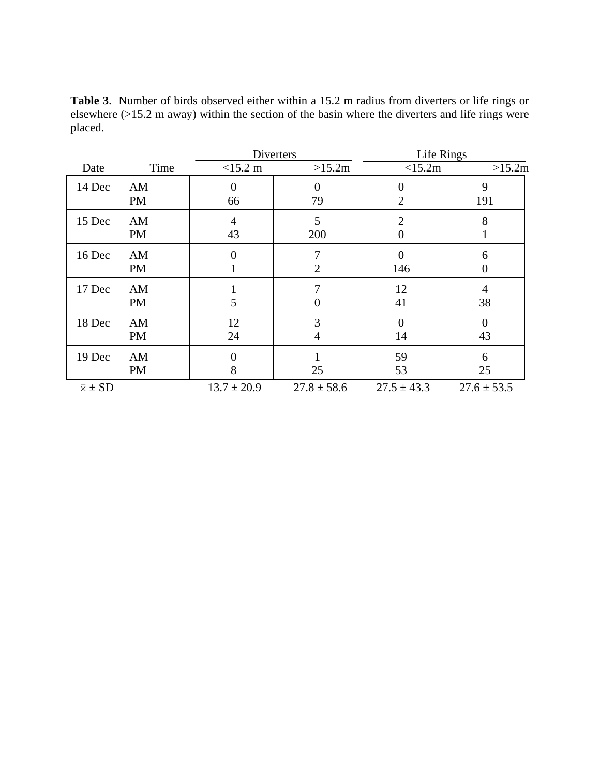**Table 3**. Number of birds observed either within a 15.2 m radius from diverters or life rings or elsewhere (>15.2 m away) within the section of the basin where the diverters and life rings were placed.

|                  |                 |                   | Diverters           | Life Rings                       |                        |  |  |
|------------------|-----------------|-------------------|---------------------|----------------------------------|------------------------|--|--|
| Date             | Time            | $<15.2 \text{ m}$ | >15.2m              | <15.2m                           | >15.2m                 |  |  |
| 14 Dec           | AM<br><b>PM</b> | 66                | $\Omega$<br>79      | 0<br>$\overline{2}$              | 9<br>191               |  |  |
| 15 Dec           | AM<br><b>PM</b> | 4<br>43           | 5<br>200            | $\overline{2}$<br>$\overline{0}$ | 8                      |  |  |
| 16 Dec           | AM<br><b>PM</b> | 0                 | 7<br>$\overline{2}$ | $\overline{0}$<br>146            | 6<br>$\boldsymbol{0}$  |  |  |
| 17 Dec           | AM<br><b>PM</b> | 5                 | 7<br>$\theta$       | 12<br>41                         | $\overline{4}$<br>38   |  |  |
| 18 Dec           | AM<br><b>PM</b> | 12<br>24          | 3<br>$\overline{4}$ | 0<br>14                          | $\boldsymbol{0}$<br>43 |  |  |
| 19 Dec           | AM<br><b>PM</b> | 8                 | 25                  | 59<br>53                         | 6<br>25                |  |  |
| $\bar{x} \pm SD$ |                 | $13.7 \pm 20.9$   | $27.8 \pm 58.6$     | $27.5 \pm 43.3$                  | $27.6 \pm 53.5$        |  |  |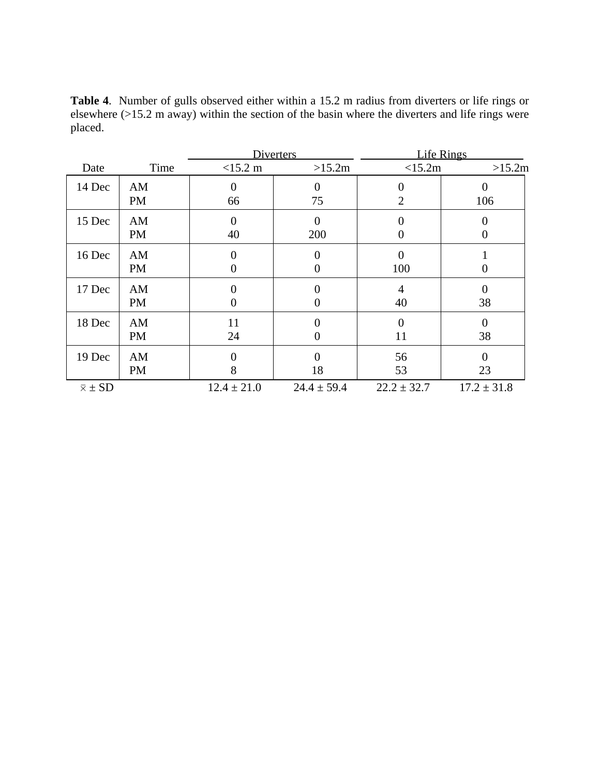**Table 4**. Number of gulls observed either within a 15.2 m radius from diverters or life rings or elsewhere (>15.2 m away) within the section of the basin where the diverters and life rings were placed.

|                  |                 |                   | <b>Diverters</b>                 | Life Rings            |                                    |  |  |
|------------------|-----------------|-------------------|----------------------------------|-----------------------|------------------------------------|--|--|
| Date             | Time            | $<15.2 \text{ m}$ | >15.2m                           | <15.2m                | >15.2m                             |  |  |
| 14 Dec           | AM<br><b>PM</b> | 66                | $\Omega$<br>75                   | 0<br>$\overline{2}$   | $\theta$<br>106                    |  |  |
| 15 Dec           | AM<br><b>PM</b> | 0<br>40           | $\overline{0}$<br>200            | 0<br>$\overline{0}$   | $\overline{0}$<br>$\boldsymbol{0}$ |  |  |
| 16 Dec           | AM<br><b>PM</b> | 0                 | $\overline{0}$<br>$\overline{0}$ | $\overline{0}$<br>100 | 0                                  |  |  |
| 17 Dec           | AM<br><b>PM</b> |                   | 0<br>$\theta$                    | $\overline{4}$<br>40  | $\overline{0}$<br>38               |  |  |
| 18 Dec           | AM<br><b>PM</b> | 11<br>24          | $\Omega$<br>$\theta$             | 0<br>11               | $\boldsymbol{0}$<br>38             |  |  |
| 19 Dec           | AM<br><b>PM</b> | 8                 | $\theta$<br>18                   | 56<br>53              | $\theta$<br>23                     |  |  |
| $\bar{x} \pm SD$ |                 | $12.4 \pm 21.0$   | $24.4 \pm 59.4$                  | $22.2 \pm 32.7$       | $17.2 \pm 31.8$                    |  |  |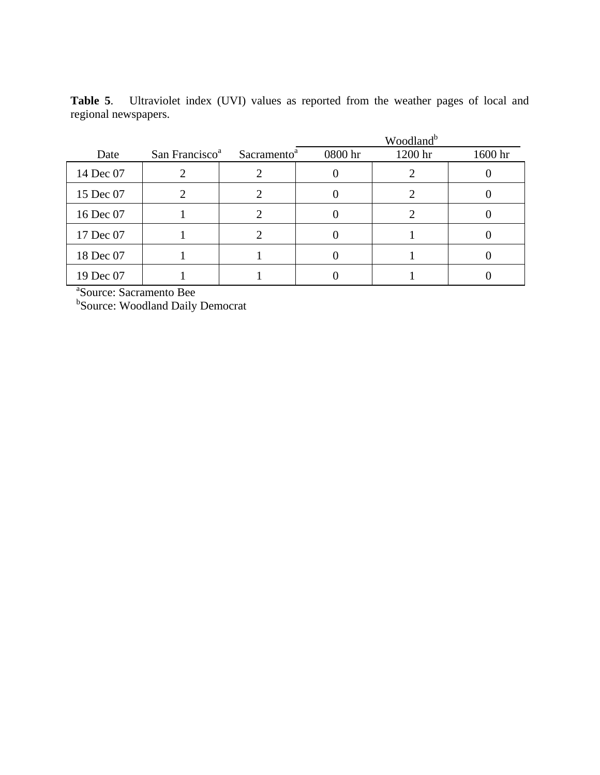| <b>Table 5.</b> Ultraviolet index (UVI) values as reported from the weather pages of local and |  |  |  |  |  |  |  |
|------------------------------------------------------------------------------------------------|--|--|--|--|--|--|--|
| regional newspapers.                                                                           |  |  |  |  |  |  |  |

|           |                            |                         | Woodland <sup>b</sup> |         |         |  |  |
|-----------|----------------------------|-------------------------|-----------------------|---------|---------|--|--|
| Date      | San Francisco <sup>a</sup> | Sacramento <sup>a</sup> | 0800 hr               | 1200 hr | 1600 hr |  |  |
| 14 Dec 07 |                            |                         |                       |         |         |  |  |
| 15 Dec 07 |                            |                         |                       |         |         |  |  |
| 16 Dec 07 |                            |                         |                       |         |         |  |  |
| 17 Dec 07 |                            |                         |                       |         |         |  |  |
| 18 Dec 07 |                            |                         |                       |         |         |  |  |
| 19 Dec 07 |                            |                         |                       |         |         |  |  |

a Source: Sacramento Bee

b Source: Woodland Daily Democrat